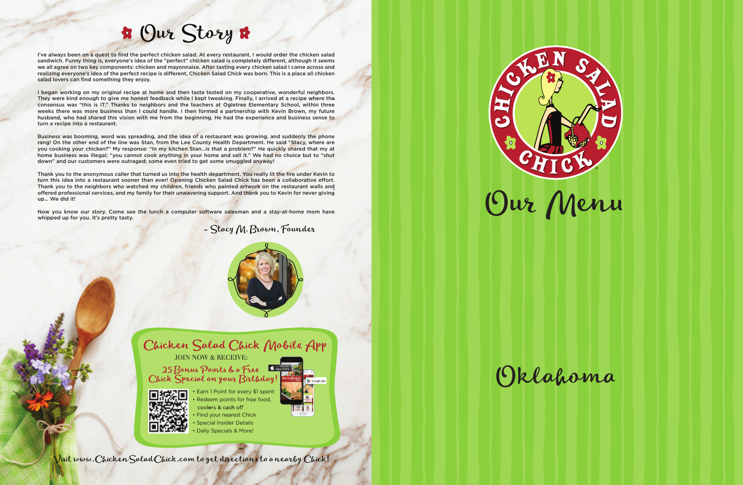# Our Story

Visit www.ChickenSaladChick.com to get directions to a nearby Chick!



- Stacy M. Brown, Founder



Chicken Salad Chick Mobile App JOIN NOW & RECEIVE:

25 Bonus Points & a Free



• Earn 1 Point for every \$1 spent Redeem points for free food, coolers & cash off Find your nearest Chick **Special Insider Details** • Daily Specials & More!



I've always been on a quest to find the perfect chicken salad. At every restaurant, I would order the chicken salad sandwich. Funny thing is, everyone's idea of the "perfect" chicken salad is completely different, although it seems we all agree on two key components: chicken and mayonnaise. After tasting every chicken salad I came across and realizing everyone's idea of the perfect recipe is different, Chicken Salad Chick was born. This is a place all chicken salad lovers can find something they enjoy.

I began working on my original recipe at home and then taste tested on my cooperative, wonderful neighbors. They were kind enough to give me honest feedback while I kept tweaking. Finally, I arrived at a recipe where the consensus was "this is IT." Thanks to neighbors and the teachers at Ogletree Elementary School, within three weeks there was more business than I could handle. I then formed a partnership with Kevin Brown, my future husband, who had shared this vision with me from the beginning. He had the experience and business sense to turn a recipe into a restaurant.

Thank you to the anonymous caller that turned us into the health department. You really lit the fire under Kevin to turn this idea into a restaurant sooner than ever! Opening Chicken Salad Chick has been a collaborative effort. Thank you to the neighbors who watched my children, friends who painted artwork on the restaurant walls and offered professional services, and my family for their unwavering support. And thank you to Kevin for never giving up… We did it!

Now you know our story. Come see the lunch a computer software salesman and a stay-at-home mom have whipped up for you. It's pretty tasty.

Business was booming, word was spreading, and the idea of a restaurant was growing, and suddenly the phone rang! On the other end of the line was Stan, from the Lee County Health Department. He said "Stacy, where are you cooking your chicken?" My response: "In my kitchen Stan…is that a problem?" He quickly shared that my at home business was illegal; "you cannot cook anything in your home and sell it." We had no choice but to "shut down" and our customers were outraged; some even tried to get some smuggled anyway!